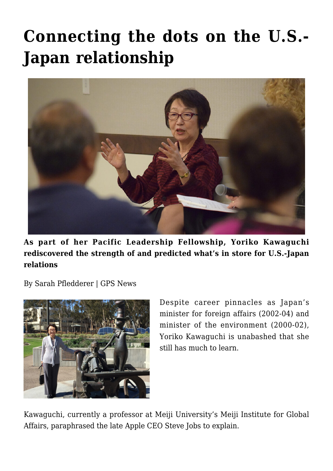## **[Connecting the dots on the U.S.-](https://gpsnews.ucsd.edu/connecting-the-dots-on-the-us-japan-relationship/) [Japan relationship](https://gpsnews.ucsd.edu/connecting-the-dots-on-the-us-japan-relationship/)**



**As part of her Pacific Leadership Fellowship, Yoriko Kawaguchi rediscovered the strength of and predicted what's in store for U.S.-Japan relations**

By Sarah Pfledderer | GPS News



Despite career pinnacles as Japan's minister for foreign affairs (2002-04) and minister of the environment (2000-02), Yoriko Kawaguchi is unabashed that she still has much to learn.

Kawaguchi, currently a professor at Meiji University's Meiji Institute for Global Affairs, paraphrased the late Apple CEO Steve Jobs to explain.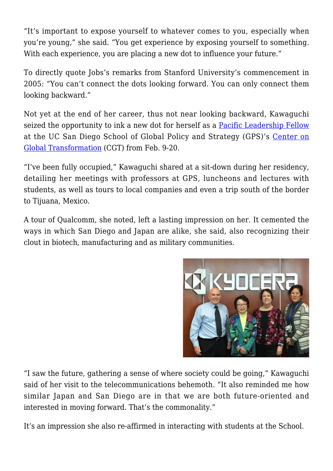"It's important to expose yourself to whatever comes to you, especially when you're young," she said. "You get experience by exposing yourself to something. With each experience, you are placing a new dot to influence your future."

To directly quote Jobs's remarks from Stanford University's commencement in 2005: "You can't connect the dots looking forward. You can only connect them looking backward."

Not yet at the end of her career, thus not near looking backward, Kawaguchi seized the opportunity to ink a new dot for herself as a [Pacific Leadership Fellow](http://cgt.ucsd.edu/fellows/past/kawaguchi.html) at the UC San Diego School of Global Policy and Strategy (GPS)'s [Center on](http://cgt.ucsd.edu/) [Global Transformation](http://cgt.ucsd.edu/) (CGT) from Feb. 9-20.

"I've been fully occupied," Kawaguchi shared at a sit-down during her residency, detailing her meetings with professors at GPS, luncheons and lectures with students, as well as tours to local companies and even a trip south of the border to Tijuana, Mexico.

A tour of Qualcomm, she noted, left a lasting impression on her. It cemented the ways in which San Diego and Japan are alike, she said, also recognizing their clout in biotech, manufacturing and as military communities.



"I saw the future, gathering a sense of where society could be going," Kawaguchi said of her visit to the telecommunications behemoth. "It also reminded me how similar Japan and San Diego are in that we are both future-oriented and interested in moving forward. That's the commonality."

It's an impression she also re-affirmed in interacting with students at the School.